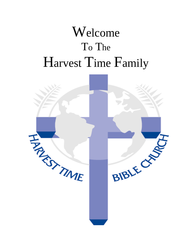# Welcome To The Harvest Time Family

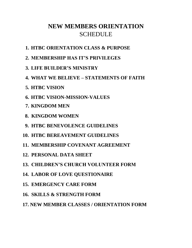# **NEW MEMBERS ORIENTATION SCHEDULE**

- **1. HTBC ORIENTATION CLASS & PURPOSE**
- **2. MEMBERSHIP HAS IT'S PRIVILEGES**
- **3. LIFE BUILDER'S MINISTRY**
- **4. WHAT WE BELIEVE – STATEMENTS OF FAITH**
- **5. HTBC VISION**
- **6. HTBC VISION-MISSION-VALUES**
- **7. KINGDOM MEN**
- **8. KINGDOM WOMEN**
- **9. HTBC BENEVOLENCE GUIDELINES**
- **10. HTBC BEREAVEMENT GUIDELINES**
- **11. MEMBERSHIP COVENANT AGREEMENT**
- **12. PERSONAL DATA SHEET**
- **13. CHILDREN'S CHURCH VOLUNTEER FORM**
- **14. LABOR OF LOVE QUESTIONAIRE**
- **15. EMERGENCY CARE FORM**
- **16. SKILLS & STRENGTH FORM**
- **17. NEW MEMBER CLASSES / ORIENTATION FORM**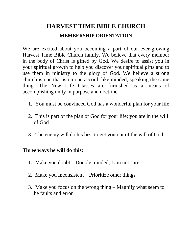# **HARVEST TIME BIBLE CHURCH MEMBERSHIP ORIENTATION**

We are excited about you becoming a part of our ever-growing Harvest Time Bible Church family. We believe that every member in the body of Christ is gifted by God. We desire to assist you in your spiritual growth to help you discover your spiritual gifts and to use them in ministry to the glory of God. We believe a strong church is one that is on one accord, like minded, speaking the same thing. The New Life Classes are furnished as a means of accomplishing unity in purpose and doctrine.

- 1. You must be convinced God has a wonderful plan for your life
- 2. This is part of the plan of God for your life; you are in the will of God
- 3. The enemy will do his best to get you out of the will of God

#### **Three ways he will do this:**

- 1. Make you doubt Double minded; I am not sure
- 2. Make you Inconsistent Prioritize other things
- 3. Make you focus on the wrong thing Magnify what seem to be faults and error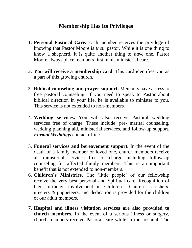### **Membership Has Its Privileges**

- 1. **Personal Pastoral Care.** Each member receives the privilege of knowing that Pastor Moore is *their* pastor. While it is one thing to know a shepherd, it is quite another thing to *have* one. Pastor Moore always place members first in his ministerial care.
- 2. **You will receive a membership card**. This card identifies you as a part of this growing church.
- 3. **Biblical counseling and prayer support.** Members have access to free pastoral counseling. If you need to speak to Pastor about biblical direction in your life, he is available to minister to you. This service is not extended to non-members.
- 4. **Wedding services.** You will also receive Pastoral wedding services free of charge. These include; pre- marital counseling, wedding planning aid, ministerial services, and follow-up support. *Formal Weddings* contact office.
- 5. **Funeral services and bereavement support.** In the event of the death of a family member or loved one, church members receive all ministerial services free of charge including follow-up counseling for affected family members. This is an important benefit that is not extended to non-members.
- 6. **Children's Ministries.** The 'little people' of our fellowship receive the very best personal and Spiritual care. Recognition of their birthday, involvement in Children's Church as ushers, greeters & puppeteers, and dedication is provided for the children of our adult members.
- 7. **Hospital and illness visitation services are also provided to church members.** In the event of a serious illness or surgery, church members receive Pastoral care while in the hospital. The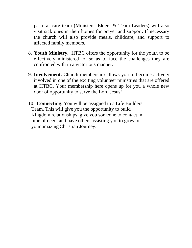pastoral care team (Ministers, Elders & Team Leaders) will also visit sick ones in their homes for prayer and support. If necessary the church will also provide meals, childcare, and support to affected family members.

- 8. **Youth Ministry.** HTBC offers the opportunity for the youth to be effectively ministered to, so as to face the challenges they are confronted with in a victorious manner.
- 9. **Involvement.** Church membership allows you to become actively involved in one of the exciting volunteer ministries that are offered at HTBC. Your membership here opens up for you a whole new door of opportunity to serve the Lord Jesus!
- 10. **Connecting**. You will be assigned to a Life Builders Team. This will give you the opportunity to build Kingdom relationships, give you someone to contact in time of need, and have others assisting you to grow on your amazing Christian Journey.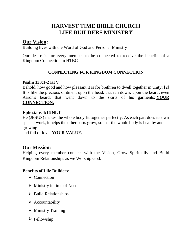### **HARVEST TIME BIBLE CHURCH LIFE BUILDERS MINISTRY**

#### **Our Vision:**

Building lives with the Word of God and Personal Ministry

Our desire is for every member to be connected to receive the benefits of a Kingdom Connection in HTBC.

#### **CONNECTING FOR KINGDOM CONNECTION**

#### **Psalm 133:1-2 KJV**

Behold, how good and how pleasant it is for brethren to dwell together in unity! [2] It is like the precious ointment upon the head, that ran down, upon the beard, even Aaron's beard: that went down to the skirts of his garments; **YOUR CONNECTION.**

#### **Ephesians 4:16 NLT**

He (JESUS) makes the whole body fit together perfectly. As each part does its own special work, it helps the other parts grow, so that the whole body is healthy and growing

and full of love; **YOUR VALUE.**

#### **Our Mission:**

Helping every member connect with the Vision, Grow Spiritually and Build Kingdom Relationships as we Worship God.

#### **Benefits of Life Builders:**

- ➢ Connection
- $\triangleright$  Ministry in time of Need
- $\triangleright$  Build Relationships
- ➢ Accountability
- ➢ Ministry Training
- ➢ Fellowship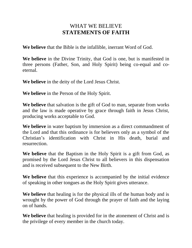### WHAT WE BELIEVE **STATEMENTS OF FAITH**

**We believe** that the Bible is the infallible, inerrant Word of God.

**We believe** in the Divine Trinity, that God is one, but is manifested in three persons (Father, Son, and Holy Spirit) being co-equal and coeternal.

**We believe** in the deity of the Lord Jesus Christ.

**We believe** in the Person of the Holy Spirit.

**We believe** that salvation is the gift of God to man, separate from works and the law is made operative by grace through faith in Jesus Christ, producing works acceptable to God.

**We believe** in water baptism by immersion as a direct commandment of the Lord and that this ordinance is for believers only as a symbol of the Christian's identification with Christ in His death, burial and resurrection.

**We believe** that the Baptism in the Holy Spirit is a gift from God, as promised by the Lord Jesus Christ to all believers in this dispensation and is received subsequent to the New Birth.

**We believe** that this experience is accompanied by the initial evidence of speaking in other tongues as the Holy Spirit gives utterance.

**We believe** that healing is for the physical ills of the human body and is wrought by the power of God through the prayer of faith and the laying on of hands.

**We believe** that healing is provided for in the atonement of Christ and is the privilege of every member in the church today.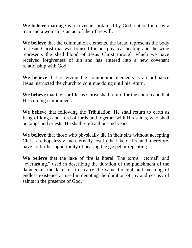**We believe** marriage is a covenant ordained by God, entered into by a man and a woman as an act of their fare will.

**We believe** that the communion elements, the bread represents the body of Jesus Christ that was bruised for our physical healing and the wine represents the shed blood of Jesus Christ through which we have received forgiveness of sin and has entered into a new covenant relationship with God.

**We believe** that receiving the communion elements is an ordinance Jesus instructed the church to continue doing until his return.

**We believe** that the Lord Jesus Christ shall return for the church and that His coming is imminent.

**We believe** that following the Tribulation, He shall return to earth as King of kings and Lord of lords and together with His saints, who shall be kings and priests. He shall reign a thousand years.

**We believe** that those who physically die in their sins without accepting Christ are hopelessly and eternally lost in the lake of fire and, therefore, have no further opportunity of hearing the gospel or repenting.

**We believe** that the lake of fire is literal. The terms "eternal" and "everlasting," used in describing the duration of the punishment of the damned in the lake of fire, carry the same thought and meaning of endless existence as used in denoting the duration of joy and ecstasy of saints in the presence of God.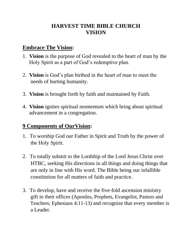## **HARVEST TIME BIBLE CHURCH VISION**

### **Embrace The Vision:**

- 1. **Vision** is the purpose of God revealed to the heart of man by the Holy Spirit as a part of God's redemptive plan.
- 2. **Vision** is God's plan birthed in the heart of man to meet the needs of hurting humanity.
- 3. **Vision** is brought forth by faith and maintained by Faith.
- 4. **Vision** ignites spiritual momentum which bring about spiritual advancement in a congregation.

# **9 Components of OurVision:**

- 1. To worship God our Father in Spirit and Truth by the power of the Holy Spirit.
- 2. To totally submit to the Lordship of the Lord Jesus Christ over HTBC, seeking His directions in all things and doing things that are only in line with His word. The Bible being our infallible constitution for all matters of faith and practice.
- 3. To develop, have and receive the five-fold ascension ministry gift in their offices (Apostles, Prophets, Evangelist, Pastors and Teachers; Ephesians 4:11-13) and recognize that every member is a Leader.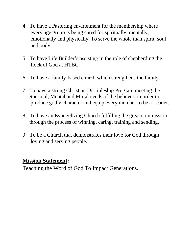- 4. To have a Pastoring environment for the membership where every age group is being cared for spiritually, mentally, emotionally and physically. To serve the whole man spirit, soul and body.
- 5. To have Life Builder's assisting in the role of shepherding the flock of God at HTBC.
- 6. To have a family-based church which strengthens the family.
- 7. To have a strong Christian Discipleship Program meeting the Spiritual, Mental and Moral needs of the believer, in order to produce godly character and equip every member to be a Leader.
- 8. To have an Evangelizing Church fulfilling the great commission through the process of winning, caring, training and sending.
- 9. To be a Church that demonstrates their love for God through loving and serving people.

### **Mission Statement:**

Teaching the Word of God To Impact Generations.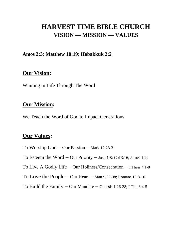# **HARVEST TIME BIBLE CHURCH VISION — MISSION — VALUES**

#### **Amos 3:3; Matthew 18:19; Habakkuk 2:2**

#### **Our Vision:**

Winning in Life Through The Word

### **Our Mission:**

We Teach the Word of God to Impact Generations

### **Our Values:**

To Worship God – Our Passion – Mark 12:28-31 To Esteem the Word – Our Priority – Josh 1:8; Col 3:16; James 1:22 To Live A Godly Life – Our Holiness/Consecration – I Thess 4:1-8 To Love the People – Our Heart – Matt 9:35-38; Romans 13:8-10 To Build the Family – Our Mandate – Genesis 1:26-28; I Tim 3:4-5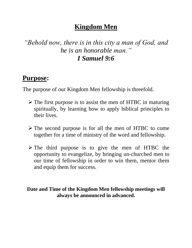# **Kingdom Men**

# *"Behold now, there is in this city a man of God, and he is an honorable man." I Samuel 9:6*

# **Purpose:**

The purpose of our Kingdom Men fellowship is threefold.

- ➢ The first purpose is to assist the men of HTBC in maturing spiritually, by learning how to apply biblical principles to their lives.
- ➢ The second purpose is for all the men of HTBC to come together for a time of ministry of the word and fellowship.
- ➢ The third purpose is to give the men of HTBC the opportunity to evangelize, by bringing un-churched men to our time of fellowship in order to win them, mentor them and equip them for success.

### **Date and Time of the Kingdom Men fellowship meetings will always be announced in advanced.**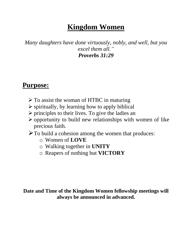# **Kingdom Women**

*Many daughters have done virtuously, nobly, and well, but you excel them all." Proverbs 31:29*

# **Purpose:**

- $\triangleright$  To assist the woman of HTBC in maturing
- $\triangleright$  spiritually, by learning how to apply biblical
- $\triangleright$  principles to their lives. To give the ladies an
- ➢ opportunity to build new relationships with women of like precious faith.
- ➢To build a cohesion among the women that produces:
	- o Women of **LOVE**
	- o Walking together in **UNITY**
	- o Reapers of nothing but **VICTORY**

### **Date and Time of the Kingdom Women fellowship meetings will always be announced in advanced.**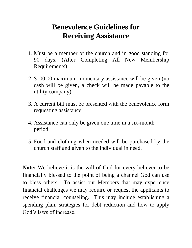# **Benevolence Guidelines for Receiving Assistance**

- 1. Must be a member of the church and in good standing for 90 days. (After Completing All New Membership Requirements)
- 2. \$100.00 maximum momentary assistance will be given (no cash will be given, a check will be made payable to the utility company).
- 3. A current bill must be presented with the benevolence form requesting assistance.
- 4. Assistance can only be given one time in a six-month period.
- 5. Food and clothing when needed will be purchased by the church staff and given to the individual in need.

**Note:** We believe it is the will of God for every believer to be financially blessed to the point of being a channel God can use to bless others. To assist our Members that may experience financial challenges we may require or request the applicants to receive financial counseling. This may include establishing a spending plan, strategies for debt reduction and how to apply God's laws of increase.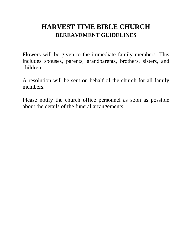# **HARVEST TIME BIBLE CHURCH BEREAVEMENT GUIDELINES**

Flowers will be given to the immediate family members. This includes spouses, parents, grandparents, brothers, sisters, and children.

A resolution will be sent on behalf of the church for all family members.

Please notify the church office personnel as soon as possible about the details of the funeral arrangements.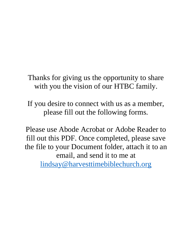Thanks for giving us the opportunity to share with you the vision of our HTBC family.

If you desire to connect with us as a member, please fill out the following forms.

Please use Abode Acrobat or Adobe Reader to fill out this PDF. Once completed, please save the file to your Document folder, attach it to an email, and send it to me at [lindsay@harvesttimebiblechurch.org](mailto:lindsay@harvesttimebiblechurch.org)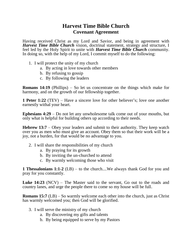#### **Harvest Time Bible Church Covenant Agreement**

Having received Christ as my Lord and Savior, and being in agreement with *Harvest Time Bible Church* vision, doctrinal statement, strategy and structure, I feel led by the Holy Spirit to unite with *Harvest Time Bible Church* community. In doing so, with the help of my Lord, I commit myself to do the following:

- 1. I will protect the unity of my church
	- a. By acting in love towards other members
	- b. By refusing to gossip
	- c. By following the leaders

**Romans 14:19** (Phillips) – So let us concentrate on the things which make for harmony, and on the growth of our fellowship together.

**1 Peter 1:22** (TEV) – Have a sincere love for other believer's; love one another earnestly withal your heart.

**Ephesians 4:29** – Do not let any unwholesome talk come out of your mouths, but only what is helpful for building others up according to their needs.

**Hebrew 13:7** – Obey your leaders and submit to their authority. They keep watch over you as men who must give an account. Obey them so that their work will be a joy, not a burden, for that would be no advantage to you.

- 2. I will share the responsibilities of my church
	- a. By praying for its growth
	- b. By inviting the un-churched to attend
	- c. By warmly welcoming those who visit

**1 Thessalonians 1:1-2** (LB) – to the church....We always thank God for you and pray for you constantly.

**Luke 14:23** (NCV) – The Master said to the servant, Go out to the roads and country lanes, and urge the people there to come so my house will be full.

**Romans 15:7** (LB) – So warmly welcome each other into the church, just as Christ has warmly welcomed you; then God will be glorified.

- 3. I will serve the ministry of my church
	- a. By discovering my gifts and talents
	- b. By being equipped to serve by my Pastors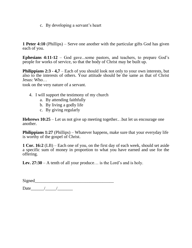c. By developing a servant's heart

**1 Peter 4:10** (Phillips) – Serve one another with the particular gifts God has given each of you.

**Ephesians 4:11-12** – God gave...some pastors, and teachers, to prepare God's people for works of service, so that the body of Christ may be built up.

**Philippians 2:3 - 4,7** – Each of you should look not only to your own interests, but also to the interests of others. Your attitude should be the same as that of Christ Jesus: Who…

took on the very nature of a servant.

- 4. I will support the testimony of my church
	- a. By attending faithfully
	- b. By living a godly life
	- c. By giving regularly

**Hebrews 10:25** – Let us not give up meeting together.. .but let us encourage one another.

**Philippians 1:27** (Phillips) – Whatever happens, make sure that your everyday life is worthy of the gospel of Christ.

**1 Cor. 16:2** (LB) – Each one of you, on the first day of each week, should set aside a specific sum of money in proportion to what you have earned and use for the offering.

**Lev. 27:30** – A tenth of all your produce… is the Lord's and is holy.

Signed\_\_\_\_\_\_\_\_\_\_\_\_\_\_\_\_\_\_\_\_\_\_\_\_\_\_\_\_\_\_\_\_\_\_\_\_

Date\_\_\_\_\_\_/\_\_\_\_\_/\_\_\_\_\_\_\_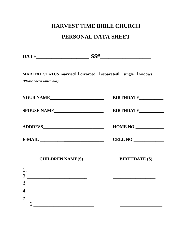# **HARVEST TIME BIBLE CHURCH**

### **PERSONAL DATA SHEET**

**DATE**\_\_\_\_\_\_\_\_\_\_\_\_\_\_\_\_\_\_\_\_\_ **SS#**\_\_\_\_\_\_\_\_\_\_\_\_\_\_\_\_\_\_

**MARITAL STATUS married□divorced□separated□single□ widows□**

*(Please check which box)*

**YOUR NAME BIRTHDATE BIRTHDATE** 

**SPOUSE NAME\_\_\_\_\_\_\_\_\_\_\_\_\_\_\_\_\_\_\_\_\_ BIRTHDATE\_\_\_\_\_\_\_\_\_\_**

**ADDRESS\_\_\_\_\_\_\_\_\_\_\_\_\_\_\_\_\_\_\_\_\_\_\_\_\_\_ HOME NO.\_\_\_\_\_\_\_\_\_\_\_\_\_**

**E-MAIL CELL NO.** 

**CHILDREN NAME(S) BIRTHDATE (S)**

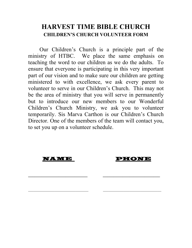# **HARVEST TIME BIBLE CHURCH CHILDREN'S CHURCH VOLUNTEER FORM**

Our Children's Church is a principle part of the ministry of HTBC. We place the same emphasis on teaching the word to our children as we do the adults. To ensure that everyone is participating in this very important part of our vision and to make sure our children are getting ministered to with excellence, we ask every parent to volunteer to serve in our Children's Church. This may not be the area of ministry that you will serve in permanently but to introduce our new members to our Wonderful Children's Church Ministry, we ask you to volunteer temporarily. Sis Marva Carthon is our Children's Church Director. One of the members of the team will contact you, to set you up on a volunteer schedule.

**\_\_\_\_\_\_\_\_\_\_\_\_\_\_\_\_\_\_\_\_\_\_\_\_\_\_\_ \_\_\_\_\_\_\_\_\_\_\_\_\_\_\_\_\_\_\_\_\_\_\_\_\_\_**

 $\_$ 

**10.000 - 10.0000 - 10.0000 - 10.0000 - 10.0000 - 10.0000 - 10.0000 - 10.0000 - 10.0000 - 10.0000 - 10.0000 - 1**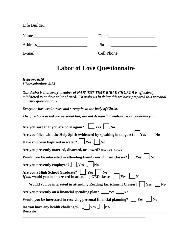| Name           | Date:       |
|----------------|-------------|
| <b>Address</b> |             |
| E-mail         | Cell Phone: |

# **Labor of Love Questionnaire**

*Hebrews 6:10 I Thessalonians 5:23*

*Our desire is that every member of HARVEST TIME BIBLE CHURCH is effectively ministered to at their point of need. To assist us in doing this we have prepared this personal ministry questionnaire.*

*Everyone has weaknesses and strengths in the body of Christ.*

*The questions asked are personal but, are not designed to embarrass or condemn you.*

| Are you sure that you are born again?<br><b>Yes</b>                                                                                             |  |  |
|-------------------------------------------------------------------------------------------------------------------------------------------------|--|--|
| Are you filled with the Holy Spirit evidenced by speaking in tongues? $\Box$ Yes                                                                |  |  |
| Have you been baptized in water? $\frac{1}{1}$ [Yes $\frac{1}{1}$ [No                                                                           |  |  |
| Are you presently married, divorced, or unwed? (Please Circle One)                                                                              |  |  |
| Would you be interested in attending Family enrichment classes?     Yes                                                                         |  |  |
| Are you presently employed? $\int$ [Yes $\int$ [No                                                                                              |  |  |
| Are you a High School Graduate? $\vert \vert$ [Yes $\vert$ [No<br><i>If no</i> , would you be interested in attending GED classes $\int$ [Yes ] |  |  |
| Would you be interested in attending Reading Enrichment Classes?   [Yes]                                                                        |  |  |
| Are you presently on a financial spending plan?<br>$\blacksquare$ Yes                                                                           |  |  |
| Would you be interested in receiving personal financial planning? $\int \;   \; \gamma$<br>No                                                   |  |  |
| Do you have any health challenges? $\Box$<br><b>Yes</b><br><b>Describe</b>                                                                      |  |  |
|                                                                                                                                                 |  |  |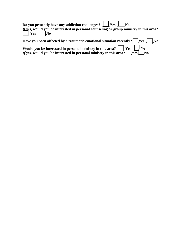| Do you presently have any addiction challenges? $\Box$ Yes $\Box$ No<br><i>If ves</i> , would you be interested in personal counseling or group ministry in this area?<br>$Yes$ $\Box$ No |  |  |  |
|-------------------------------------------------------------------------------------------------------------------------------------------------------------------------------------------|--|--|--|
| Have you been affected by a traumatic emotional situation recently? $ Yes $ $ No$                                                                                                         |  |  |  |
| Would you be interested in personal ministry in this area? $\Box$ Yes $\Box$ No                                                                                                           |  |  |  |

*If yes, w*ould you be interested in personal ministry in this area?  $\vert$  [Yes  $\vert$  \_No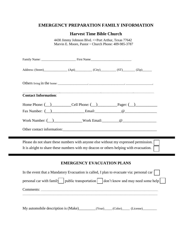#### **EMERGENCY PREPARATION FAMILY INFORMATION**

#### **Harvest Time Bible Church**

4430 Jimmy Johnson Blvd. <>Port Arthur, Texas 77642 Marvin E. Moore, Pastor ~ Church Phone: 409-985-3787

| <b>Contact Information:</b> |                                   |                                                                                                                                                                                                                                |
|-----------------------------|-----------------------------------|--------------------------------------------------------------------------------------------------------------------------------------------------------------------------------------------------------------------------------|
|                             |                                   | Home Phone: $\qquad)$ Cell Phone: $\qquad)$ Pager: $($                                                                                                                                                                         |
|                             |                                   | Fax Number: $\begin{pmatrix} 0 & \cdots & 0 \\ 0 & \cdots & \cdots & 0 \end{pmatrix}$ Email: $\begin{pmatrix} 0 & \cdots & 0 \\ 0 & \cdots & 0 \\ 0 & \cdots & \cdots & 0 \end{pmatrix}$                                       |
|                             |                                   | Work Number: $(\_)$ Work Email: $@$ $@$                                                                                                                                                                                        |
|                             |                                   | Other contact information: example and the contract of the contract of the contract of the contract of the contract of the contract of the contract of the contract of the contract of the contract of the contract of the con |
|                             |                                   | Please do not share these numbers with anyone else without my expressed permission.<br>It is alright to share these numbers with my deacon or others helping with evacuation.                                                  |
|                             |                                   |                                                                                                                                                                                                                                |
|                             | <b>EMERGENCY EVACUATION PLANS</b> |                                                                                                                                                                                                                                |
|                             |                                   | In the event that a Mandatory Evacuation is called, I plan to evacuate via: personal car                                                                                                                                       |
|                             |                                   | personal car with family   public transportation   don't know and may need some help                                                                                                                                           |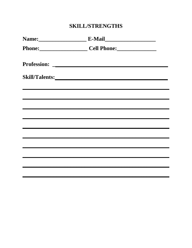# **SKILL/STRENGTHS**

| Name: E-Mail                                                                                                         |  |
|----------------------------------------------------------------------------------------------------------------------|--|
| Phone: Cell Phone:                                                                                                   |  |
|                                                                                                                      |  |
|                                                                                                                      |  |
| <u> Alexandro de la contrada de la contrada de la contrada de la contrada de la contrada de la contrada de la co</u> |  |
|                                                                                                                      |  |
|                                                                                                                      |  |
| ,我们也不会有什么。""我们的人,我们也不会有什么?""我们的人,我们也不会有什么?""我们的人,我们也不会有什么?""我们的人,我们也不会有什么?""我们的人                                     |  |
|                                                                                                                      |  |
|                                                                                                                      |  |
|                                                                                                                      |  |
|                                                                                                                      |  |
|                                                                                                                      |  |